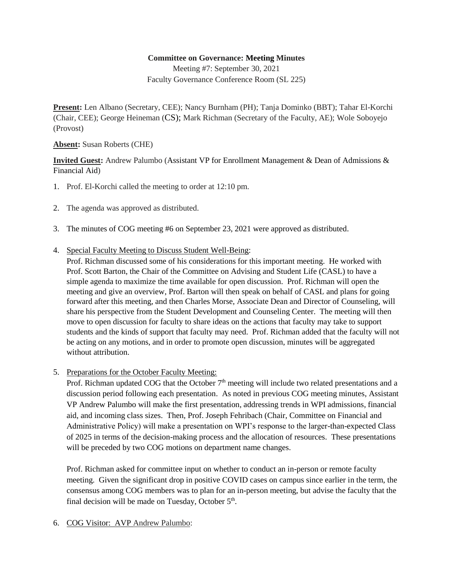## **Committee on Governance: Meeting Minutes**

Meeting #7: September 30, 2021 Faculty Governance Conference Room (SL 225)

**Present:** Len Albano (Secretary, CEE); Nancy Burnham (PH); Tanja Dominko (BBT); Tahar El-Korchi (Chair, CEE); George Heineman (CS); Mark Richman (Secretary of the Faculty, AE); Wole Soboyejo (Provost)

**Absent:** Susan Roberts (CHE)

**Invited Guest:** Andrew Palumbo (Assistant VP for Enrollment Management & Dean of Admissions & Financial Aid)

- 1. Prof. El-Korchi called the meeting to order at 12:10 pm.
- 2. The agenda was approved as distributed.
- 3. The minutes of COG meeting #6 on September 23, 2021 were approved as distributed.
- 4. Special Faculty Meeting to Discuss Student Well-Being:

Prof. Richman discussed some of his considerations for this important meeting. He worked with Prof. Scott Barton, the Chair of the Committee on Advising and Student Life (CASL) to have a simple agenda to maximize the time available for open discussion. Prof. Richman will open the meeting and give an overview, Prof. Barton will then speak on behalf of CASL and plans for going forward after this meeting, and then Charles Morse, Associate Dean and Director of Counseling, will share his perspective from the Student Development and Counseling Center. The meeting will then move to open discussion for faculty to share ideas on the actions that faculty may take to support students and the kinds of support that faculty may need. Prof. Richman added that the faculty will not be acting on any motions, and in order to promote open discussion, minutes will be aggregated without attribution.

5. Preparations for the October Faculty Meeting:

Prof. Richman updated COG that the October 7<sup>th</sup> meeting will include two related presentations and a discussion period following each presentation. As noted in previous COG meeting minutes, Assistant VP Andrew Palumbo will make the first presentation, addressing trends in WPI admissions, financial aid, and incoming class sizes. Then, Prof. Joseph Fehribach (Chair, Committee on Financial and Administrative Policy) will make a presentation on WPI's response to the larger-than-expected Class of 2025 in terms of the decision-making process and the allocation of resources. These presentations will be preceded by two COG motions on department name changes.

Prof. Richman asked for committee input on whether to conduct an in-person or remote faculty meeting. Given the significant drop in positive COVID cases on campus since earlier in the term, the consensus among COG members was to plan for an in-person meeting, but advise the faculty that the final decision will be made on Tuesday, October  $5<sup>th</sup>$ .

6. COG Visitor: AVP Andrew Palumbo: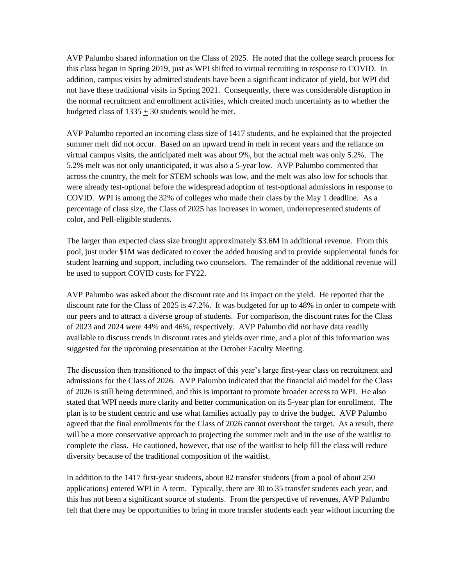AVP Palumbo shared information on the Class of 2025. He noted that the college search process for this class began in Spring 2019, just as WPI shifted to virtual recruiting in response to COVID. In addition, campus visits by admitted students have been a significant indicator of yield, but WPI did not have these traditional visits in Spring 2021. Consequently, there was considerable disruption in the normal recruitment and enrollment activities, which created much uncertainty as to whether the budgeted class of  $1335 \pm 30$  students would be met.

AVP Palumbo reported an incoming class size of 1417 students, and he explained that the projected summer melt did not occur. Based on an upward trend in melt in recent years and the reliance on virtual campus visits, the anticipated melt was about 9%, but the actual melt was only 5.2%. The 5.2% melt was not only unanticipated, it was also a 5-year low. AVP Palumbo commented that across the country, the melt for STEM schools was low, and the melt was also low for schools that were already test-optional before the widespread adoption of test-optional admissions in response to COVID. WPI is among the 32% of colleges who made their class by the May 1 deadline. As a percentage of class size, the Class of 2025 has increases in women, underrepresented students of color, and Pell-eligible students.

The larger than expected class size brought approximately \$3.6M in additional revenue. From this pool, just under \$1M was dedicated to cover the added housing and to provide supplemental funds for student learning and support, including two counselors. The remainder of the additional revenue will be used to support COVID costs for FY22.

AVP Palumbo was asked about the discount rate and its impact on the yield. He reported that the discount rate for the Class of 2025 is 47.2%. It was budgeted for up to 48% in order to compete with our peers and to attract a diverse group of students. For comparison, the discount rates for the Class of 2023 and 2024 were 44% and 46%, respectively. AVP Palumbo did not have data readily available to discuss trends in discount rates and yields over time, and a plot of this information was suggested for the upcoming presentation at the October Faculty Meeting.

The discussion then transitioned to the impact of this year's large first-year class on recruitment and admissions for the Class of 2026. AVP Palumbo indicated that the financial aid model for the Class of 2026 is still being determined, and this is important to promote broader access to WPI. He also stated that WPI needs more clarity and better communication on its 5-year plan for enrollment. The plan is to be student centric and use what families actually pay to drive the budget. AVP Palumbo agreed that the final enrollments for the Class of 2026 cannot overshoot the target. As a result, there will be a more conservative approach to projecting the summer melt and in the use of the waitlist to complete the class. He cautioned, however, that use of the waitlist to help fill the class will reduce diversity because of the traditional composition of the waitlist.

In addition to the 1417 first-year students, about 82 transfer students (from a pool of about 250 applications) entered WPI in A term. Typically, there are 30 to 35 transfer students each year, and this has not been a significant source of students. From the perspective of revenues, AVP Palumbo felt that there may be opportunities to bring in more transfer students each year without incurring the